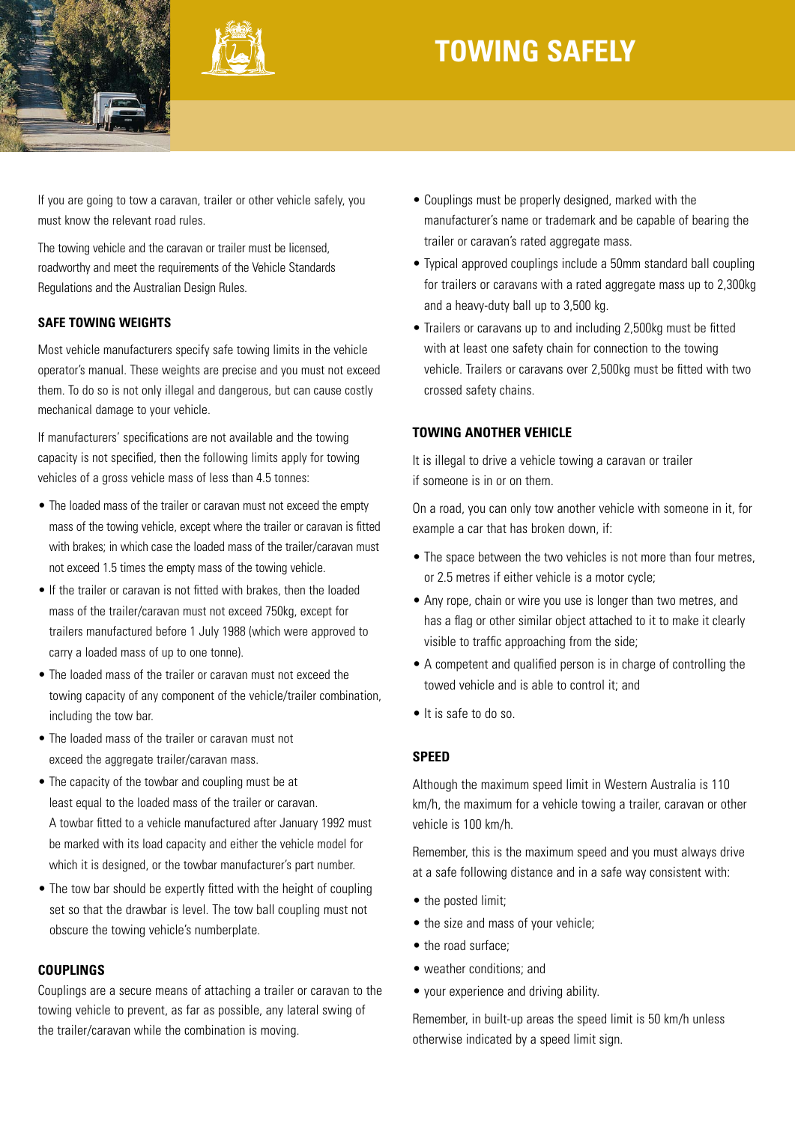



# **TOWING Safely**

If you are going to tow a caravan, trailer or other vehicle safely, you must know the relevant road rules.

The towing vehicle and the caravan or trailer must be licensed, roadworthy and meet the requirements of the Vehicle Standards Regulations and the Australian Design Rules.

# **Safe towing weights**

Most vehicle manufacturers specify safe towing limits in the vehicle operator's manual. These weights are precise and you must not exceed them. To do so is not only illegal and dangerous, but can cause costly mechanical damage to your vehicle.

If manufacturers' specifications are not available and the towing capacity is not specified, then the following limits apply for towing vehicles of a gross vehicle mass of less than 4.5 tonnes:

- The loaded mass of the trailer or caravan must not exceed the empty mass of the towing vehicle, except where the trailer or caravan is fitted with brakes: in which case the loaded mass of the trailer/caravan must not exceed 1.5 times the empty mass of the towing vehicle.
- If the trailer or caravan is not fitted with brakes, then the loaded mass of the trailer/caravan must not exceed 750kg, except for trailers manufactured before 1 July 1988 (which were approved to carry a loaded mass of up to one tonne).
- The loaded mass of the trailer or caravan must not exceed the towing capacity of any component of the vehicle/trailer combination, including the tow bar.
- The loaded mass of the trailer or caravan must not exceed the aggregate trailer/caravan mass.
- The capacity of the towbar and coupling must be at least equal to the loaded mass of the trailer or caravan. A towbar fitted to a vehicle manufactured after January 1992 must be marked with its load capacity and either the vehicle model for which it is designed, or the towbar manufacturer's part number.
- The tow bar should be expertly fitted with the height of coupling set so that the drawbar is level. The tow ball coupling must not obscure the towing vehicle's numberplate.

## **Couplings**

Couplings are a secure means of attaching a trailer or caravan to the towing vehicle to prevent, as far as possible, any lateral swing of the trailer/caravan while the combination is moving.

- Couplings must be properly designed, marked with the manufacturer's name or trademark and be capable of bearing the trailer or caravan's rated aggregate mass.
- Typical approved couplings include a 50mm standard ball coupling for trailers or caravans with a rated aggregate mass up to 2,300kg and a heavy-duty ball up to 3,500 kg.
- Trailers or caravans up to and including 2,500kg must be fitted with at least one safety chain for connection to the towing vehicle. Trailers or caravans over 2,500kg must be fitted with two crossed safety chains.

# **Towing another vehicle**

It is illegal to drive a vehicle towing a caravan or trailer if someone is in or on them.

On a road, you can only tow another vehicle with someone in it, for example a car that has broken down, if:

- The space between the two vehicles is not more than four metres, or 2.5 metres if either vehicle is a motor cycle;
- Any rope, chain or wire you use is longer than two metres, and has a flag or other similar object attached to it to make it clearly visible to traffic approaching from the side;
- A competent and qualified person is in charge of controlling the towed vehicle and is able to control it; and
- It is safe to do so.

#### **Speed**

Although the maximum speed limit in Western Australia is 110 km/h, the maximum for a vehicle towing a trailer, caravan or other vehicle is 100 km/h.

Remember, this is the maximum speed and you must always drive at a safe following distance and in a safe way consistent with:

- the posted limit:
- the size and mass of your vehicle;
- the road surface;
- weather conditions; and
- your experience and driving ability.

Remember, in built-up areas the speed limit is 50 km/h unless otherwise indicated by a speed limit sign.